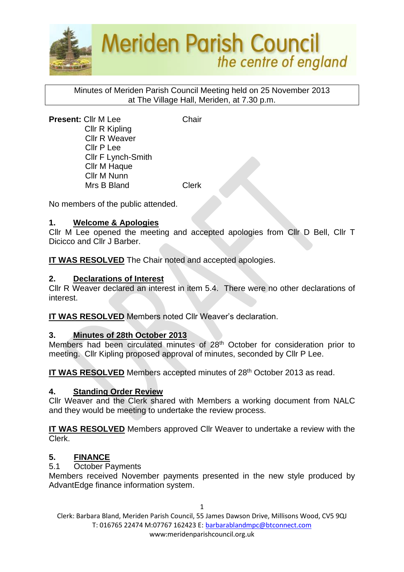

Minutes of Meriden Parish Council Meeting held on 25 November 2013 at The Village Hall, Meriden, at 7.30 p.m.

**Present:** Cllr M Lee Chair Cllr R Kipling Cllr R Weaver Cllr P Lee Cllr F Lynch-Smith Cllr M Haque Cllr M Nunn Mrs B Bland Clerk

No members of the public attended.

### **1. Welcome & Apologies**

Cllr M Lee opened the meeting and accepted apologies from Cllr D Bell, Cllr T Dicicco and Cllr J Barber.

**IT WAS RESOLVED** The Chair noted and accepted apologies.

### **2. Declarations of Interest**

Cllr R Weaver declared an interest in item 5.4. There were no other declarations of interest.

**IT WAS RESOLVED** Members noted Cllr Weaver's declaration.

#### **3. Minutes of 28th October 2013**

Members had been circulated minutes of 28<sup>th</sup> October for consideration prior to meeting. Cllr Kipling proposed approval of minutes, seconded by Cllr P Lee.

IT WAS RESOLVED Members accepted minutes of 28<sup>th</sup> October 2013 as read.

#### **4. Standing Order Review**

Cllr Weaver and the Clerk shared with Members a working document from NALC and they would be meeting to undertake the review process.

**IT WAS RESOLVED** Members approved Cllr Weaver to undertake a review with the Clerk.

## **5. FINANCE**

5.1 October Payments

Members received November payments presented in the new style produced by AdvantEdge finance information system.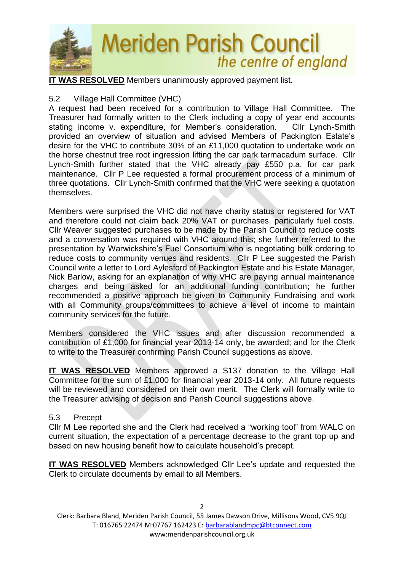

**IT WAS RESOLVED** Members unanimously approved payment list.

## 5.2 Village Hall Committee (VHC)

A request had been received for a contribution to Village Hall Committee. The Treasurer had formally written to the Clerk including a copy of year end accounts stating income v. expenditure, for Member's consideration. Cllr Lynch-Smith provided an overview of situation and advised Members of Packington Estate's desire for the VHC to contribute 30% of an £11,000 quotation to undertake work on the horse chestnut tree root ingression lifting the car park tarmacadum surface. Cllr Lynch-Smith further stated that the VHC already pay £550 p.a. for car park maintenance. Cllr P Lee requested a formal procurement process of a minimum of three quotations. Cllr Lynch-Smith confirmed that the VHC were seeking a quotation themselves.

Members were surprised the VHC did not have charity status or registered for VAT and therefore could not claim back 20% VAT or purchases, particularly fuel costs. Cllr Weaver suggested purchases to be made by the Parish Council to reduce costs and a conversation was required with VHC around this; she further referred to the presentation by Warwickshire's Fuel Consortium who is negotiating bulk ordering to reduce costs to community venues and residents. Cllr P Lee suggested the Parish Council write a letter to Lord Aylesford of Packington Estate and his Estate Manager, Nick Barlow, asking for an explanation of why VHC are paying annual maintenance charges and being asked for an additional funding contribution; he further recommended a positive approach be given to Community Fundraising and work with all Community groups/committees to achieve a level of income to maintain community services for the future.

Members considered the VHC issues and after discussion recommended a contribution of £1,000 for financial year 2013-14 only, be awarded; and for the Clerk to write to the Treasurer confirming Parish Council suggestions as above.

**IT WAS RESOLVED** Members approved a S137 donation to the Village Hall Committee for the sum of £1,000 for financial year 2013-14 only. All future requests will be reviewed and considered on their own merit. The Clerk will formally write to the Treasurer advising of decision and Parish Council suggestions above.

## 5.3 Precept

Cllr M Lee reported she and the Clerk had received a "working tool" from WALC on current situation, the expectation of a percentage decrease to the grant top up and based on new housing benefit how to calculate household's precept.

**IT WAS RESOLVED** Members acknowledged Cllr Lee's update and requested the Clerk to circulate documents by email to all Members.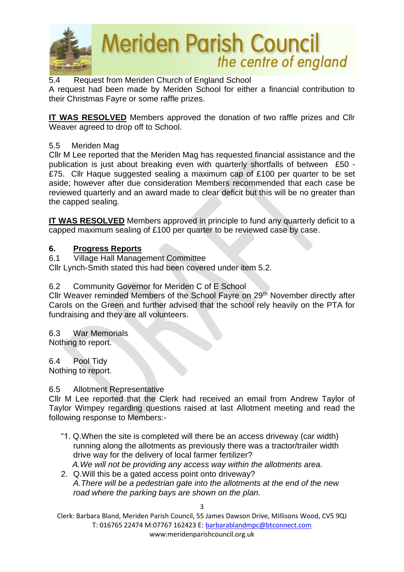

5.4 Request from Meriden Church of England School

A request had been made by Meriden School for either a financial contribution to their Christmas Fayre or some raffle prizes.

**IT WAS RESOLVED** Members approved the donation of two raffle prizes and Cllr Weaver agreed to drop off to School.

## 5.5 Meriden Mag

Cllr M Lee reported that the Meriden Mag has requested financial assistance and the publication is just about breaking even with quarterly shortfalls of between £50 - £75. Cllr Haque suggested sealing a maximum cap of £100 per quarter to be set aside; however after due consideration Members recommended that each case be reviewed quarterly and an award made to clear deficit but this will be no greater than the capped sealing.

**IT WAS RESOLVED** Members approved in principle to fund any quarterly deficit to a capped maximum sealing of £100 per quarter to be reviewed case by case.

## **6. Progress Reports**

6.1 Village Hall Management Committee

Cllr Lynch-Smith stated this had been covered under item 5.2.

## 6.2 Community Governor for Meriden C of E School

Cllr Weaver reminded Members of the School Fayre on 29th November directly after Carols on the Green and further advised that the school rely heavily on the PTA for fundraising and they are all volunteers.

6.3 War Memorials Nothing to report.

6.4 Pool Tidy Nothing to report.

#### 6.5 Allotment Representative

Cllr M Lee reported that the Clerk had received an email from Andrew Taylor of Taylor Wimpey regarding questions raised at last Allotment meeting and read the following response to Members:-

- "1. Q.When the site is completed will there be an access driveway (car width) running along the allotments as previously there was a tractor/trailer width drive way for the delivery of local farmer fertilizer?  *A.We will not be providing any access way within the allotments area.*
- 2. Q.Will this be a gated access point onto driveway? *A.There will be a pedestrian gate into the allotments at the end of the new road where the parking bays are shown on the plan.*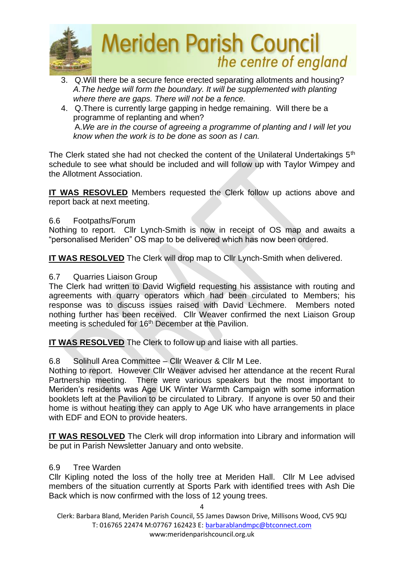

- 3. Q.Will there be a secure fence erected separating allotments and housing? *A.The hedge will form the boundary. It will be supplemented with planting where there are gaps. There will not be a fence.*
- 4. Q.There is currently large gapping in hedge remaining. Will there be a programme of replanting and when? A.*We are in the course of agreeing a programme of planting and I will let you know when the work is to be done as soon as I can.*

The Clerk stated she had not checked the content of the Unilateral Undertakings 5<sup>th</sup> schedule to see what should be included and will follow up with Taylor Wimpey and the Allotment Association.

**IT WAS RESOVLED** Members requested the Clerk follow up actions above and report back at next meeting.

### 6.6 Footpaths/Forum

Nothing to report. Cllr Lynch-Smith is now in receipt of OS map and awaits a "personalised Meriden" OS map to be delivered which has now been ordered.

**IT WAS RESOLVED** The Clerk will drop map to Cllr Lynch-Smith when delivered.

### 6.7 Quarries Liaison Group

The Clerk had written to David Wigfield requesting his assistance with routing and agreements with quarry operators which had been circulated to Members; his response was to discuss issues raised with David Lechmere. Members noted nothing further has been received. Cllr Weaver confirmed the next Liaison Group meeting is scheduled for 16<sup>th</sup> December at the Pavilion.

**IT WAS RESOLVED** The Clerk to follow up and liaise with all parties.

#### 6.8 Solihull Area Committee – Cllr Weaver & Cllr M Lee.

Nothing to report. However Cllr Weaver advised her attendance at the recent Rural Partnership meeting. There were various speakers but the most important to Meriden's residents was Age UK Winter Warmth Campaign with some information booklets left at the Pavilion to be circulated to Library. If anyone is over 50 and their home is without heating they can apply to Age UK who have arrangements in place with EDF and EON to provide heaters.

**IT WAS RESOLVED** The Clerk will drop information into Library and information will be put in Parish Newsletter January and onto website.

#### 6.9 Tree Warden

Cllr Kipling noted the loss of the holly tree at Meriden Hall. Cllr M Lee advised members of the situation currently at Sports Park with identified trees with Ash Die Back which is now confirmed with the loss of 12 young trees.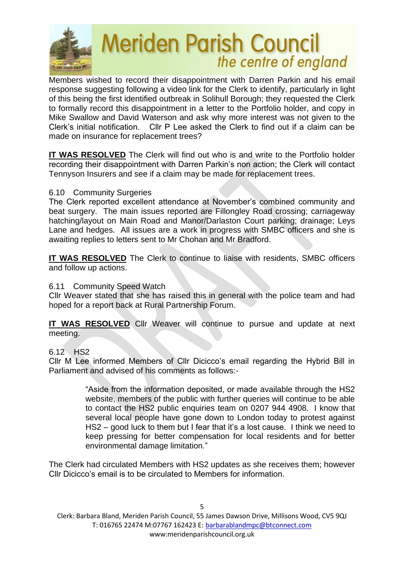

Members wished to record their disappointment with Darren Parkin and his email response suggesting following a video link for the Clerk to identify, particularly in light of this being the first identified outbreak in Solihull Borough; they requested the Clerk to formally record this disappointment in a letter to the Portfolio holder, and copy in Mike Swallow and David Waterson and ask why more interest was not given to the Clerk's initial notification. Cllr P Lee asked the Clerk to find out if a claim can be made on insurance for replacement trees?

**IT WAS RESOLVED** The Clerk will find out who is and write to the Portfolio holder recording their disappointment with Darren Parkin's non action; the Clerk will contact Tennyson Insurers and see if a claim may be made for replacement trees.

### 6.10 Community Surgeries

The Clerk reported excellent attendance at November's combined community and beat surgery. The main issues reported are Fillongley Road crossing; carriageway hatching/layout on Main Road and Manor/Darlaston Court parking; drainage; Leys Lane and hedges. All issues are a work in progress with SMBC officers and she is awaiting replies to letters sent to Mr Chohan and Mr Bradford.

**IT WAS RESOLVED** The Clerk to continue to liaise with residents, SMBC officers and follow up actions.

#### 6.11 Community Speed Watch

Cllr Weaver stated that she has raised this in general with the police team and had hoped for a report back at Rural Partnership Forum.

**IT WAS RESOLVED** Cllr Weaver will continue to pursue and update at next meeting.

## 6.12 HS2

Cllr M Lee informed Members of Cllr Dicicco's email regarding the Hybrid Bill in Parliament and advised of his comments as follows:-

> "Aside from the information deposited, or made available through the HS2 website, members of the public with further queries will continue to be able to contact the HS2 public enquiries team on 0207 944 4908. I know that several local people have gone down to London today to protest against HS2 – good luck to them but I fear that it's a lost cause. I think we need to keep pressing for better compensation for local residents and for better environmental damage limitation."

The Clerk had circulated Members with HS2 updates as she receives them; however Cllr Dicicco's email is to be circulated to Members for information.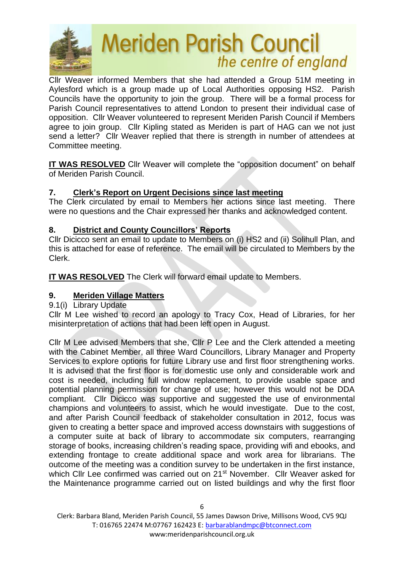

Cllr Weaver informed Members that she had attended a Group 51M meeting in Aylesford which is a group made up of Local Authorities opposing HS2. Parish Councils have the opportunity to join the group. There will be a formal process for Parish Council representatives to attend London to present their individual case of opposition. Cllr Weaver volunteered to represent Meriden Parish Council if Members agree to join group. Cllr Kipling stated as Meriden is part of HAG can we not just send a letter? Cllr Weaver replied that there is strength in number of attendees at Committee meeting.

**IT WAS RESOLVED** Cllr Weaver will complete the "opposition document" on behalf of Meriden Parish Council.

## **7. Clerk's Report on Urgent Decisions since last meeting**

The Clerk circulated by email to Members her actions since last meeting. There were no questions and the Chair expressed her thanks and acknowledged content.

## **8. District and County Councillors' Reports**

Cllr Dicicco sent an email to update to Members on (i) HS2 and (ii) Solihull Plan, and this is attached for ease of reference. The email will be circulated to Members by the Clerk.

**IT WAS RESOLVED** The Clerk will forward email update to Members.

# **9. Meriden Village Matters**

## 9.1(i) Library Update

Cllr M Lee wished to record an apology to Tracy Cox, Head of Libraries, for her misinterpretation of actions that had been left open in August.

Cllr M Lee advised Members that she, Cllr P Lee and the Clerk attended a meeting with the Cabinet Member, all three Ward Councillors, Library Manager and Property Services to explore options for future Library use and first floor strengthening works. It is advised that the first floor is for domestic use only and considerable work and cost is needed, including full window replacement, to provide usable space and potential planning permission for change of use; however this would not be DDA compliant. Cllr Dicicco was supportive and suggested the use of environmental champions and volunteers to assist, which he would investigate. Due to the cost, and after Parish Council feedback of stakeholder consultation in 2012, focus was given to creating a better space and improved access downstairs with suggestions of a computer suite at back of library to accommodate six computers, rearranging storage of books, increasing children's reading space, providing wifi and ebooks, and extending frontage to create additional space and work area for librarians. The outcome of the meeting was a condition survey to be undertaken in the first instance, which Cllr Lee confirmed was carried out on 21<sup>st</sup> November. Cllr Weaver asked for the Maintenance programme carried out on listed buildings and why the first floor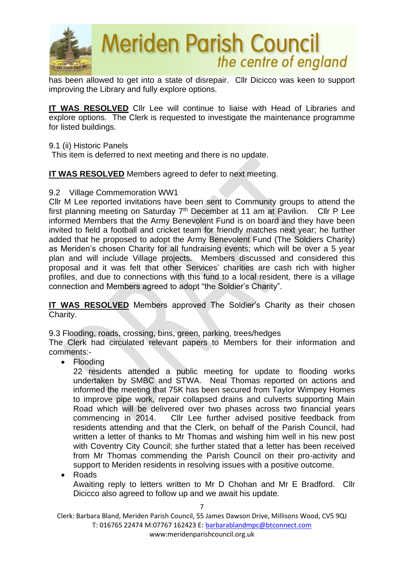

has been allowed to get into a state of disrepair. Cllr Dicicco was keen to support improving the Library and fully explore options.

**IT WAS RESOLVED** Cllr Lee will continue to liaise with Head of Libraries and explore options. The Clerk is requested to investigate the maintenance programme for listed buildings.

#### 9.1 (ii) Historic Panels

This item is deferred to next meeting and there is no update.

**IT WAS RESOLVED** Members agreed to defer to next meeting.

### 9.2 Village Commemoration WW1

Cllr M Lee reported invitations have been sent to Community groups to attend the first planning meeting on Saturday  $7<sup>th</sup>$  December at 11 am at Pavilion. Cllr P Lee informed Members that the Army Benevolent Fund is on board and they have been invited to field a football and cricket team for friendly matches next year; he further added that he proposed to adopt the Army Benevolent Fund (The Soldiers Charity) as Meriden's chosen Charity for all fundraising events; which will be over a 5 year plan and will include Village projects. Members discussed and considered this proposal and it was felt that other Services' charities are cash rich with higher profiles, and due to connections with this fund to a local resident, there is a village connection and Members agreed to adopt "the Soldier's Charity".

**IT WAS RESOLVED** Members approved The Soldier's Charity as their chosen Charity.

9.3 Flooding, roads, crossing, bins, green, parking, trees/hedges

The Clerk had circulated relevant papers to Members for their information and comments:-

• Flooding

22 residents attended a public meeting for update to flooding works undertaken by SMBC and STWA. Neal Thomas reported on actions and informed the meeting that 75K has been secured from Taylor Wimpey Homes to improve pipe work, repair collapsed drains and culverts supporting Main Road which will be delivered over two phases across two financial years commencing in 2014. Cllr Lee further advised positive feedback from residents attending and that the Clerk, on behalf of the Parish Council, had written a letter of thanks to Mr Thomas and wishing him well in his new post with Coventry City Council; she further stated that a letter has been received from Mr Thomas commending the Parish Council on their pro-activity and support to Meriden residents in resolving issues with a positive outcome.

• Roads

Awaiting reply to letters written to Mr D Chohan and Mr E Bradford. Cllr Dicicco also agreed to follow up and we await his update.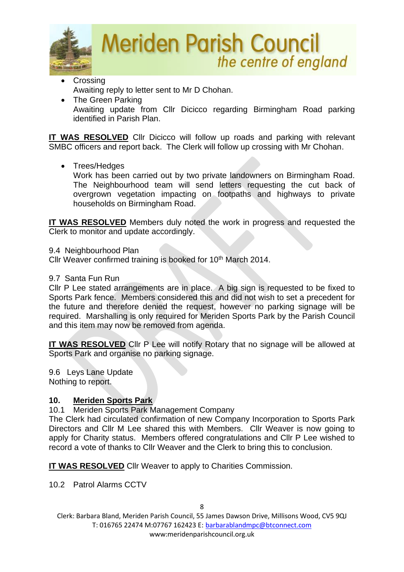

- Crossing Awaiting reply to letter sent to Mr D Chohan.
- The Green Parking Awaiting update from Cllr Dicicco regarding Birmingham Road parking identified in Parish Plan.

**IT WAS RESOLVED** Cllr Dicicco will follow up roads and parking with relevant SMBC officers and report back. The Clerk will follow up crossing with Mr Chohan.

• Trees/Hedges

Work has been carried out by two private landowners on Birmingham Road. The Neighbourhood team will send letters requesting the cut back of overgrown vegetation impacting on footpaths and highways to private households on Birmingham Road.

**IT WAS RESOLVED** Members duly noted the work in progress and requested the Clerk to monitor and update accordingly.

9.4 Neighbourhood Plan

Cllr Weaver confirmed training is booked for 10<sup>th</sup> March 2014.

## 9.7 Santa Fun Run

Cllr P Lee stated arrangements are in place. A big sign is requested to be fixed to Sports Park fence. Members considered this and did not wish to set a precedent for the future and therefore denied the request, however no parking signage will be required. Marshalling is only required for Meriden Sports Park by the Parish Council and this item may now be removed from agenda.

**IT WAS RESOLVED** Cllr P Lee will notify Rotary that no signage will be allowed at Sports Park and organise no parking signage.

9.6 Leys Lane Update Nothing to report.

# **10. Meriden Sports Park**

10.1 Meriden Sports Park Management Company

The Clerk had circulated confirmation of new Company Incorporation to Sports Park Directors and Cllr M Lee shared this with Members. Cllr Weaver is now going to apply for Charity status. Members offered congratulations and Cllr P Lee wished to record a vote of thanks to Cllr Weaver and the Clerk to bring this to conclusion.

**IT WAS RESOLVED** Cllr Weaver to apply to Charities Commission.

10.2 Patrol Alarms CCTV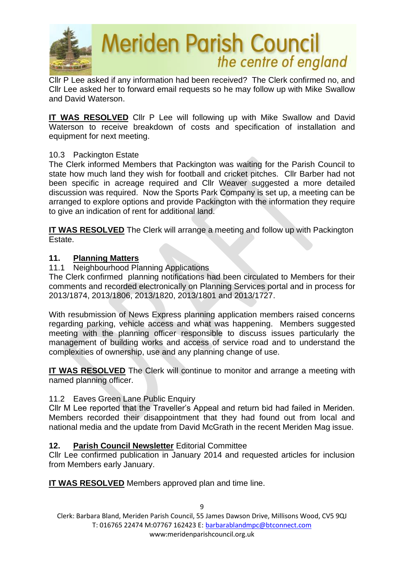

Cllr P Lee asked if any information had been received? The Clerk confirmed no, and Cllr Lee asked her to forward email requests so he may follow up with Mike Swallow and David Waterson.

**IT WAS RESOLVED** Cllr P Lee will following up with Mike Swallow and David Waterson to receive breakdown of costs and specification of installation and equipment for next meeting.

### 10.3 Packington Estate

The Clerk informed Members that Packington was waiting for the Parish Council to state how much land they wish for football and cricket pitches. Cllr Barber had not been specific in acreage required and Cllr Weaver suggested a more detailed discussion was required. Now the Sports Park Company is set up, a meeting can be arranged to explore options and provide Packington with the information they require to give an indication of rent for additional land.

**IT WAS RESOLVED** The Clerk will arrange a meeting and follow up with Packington Estate.

#### **11. Planning Matters**

11.1 Neighbourhood Planning Applications

The Clerk confirmed planning notifications had been circulated to Members for their comments and recorded electronically on Planning Services portal and in process for 2013/1874, 2013/1806, 2013/1820, 2013/1801 and 2013/1727.

With resubmission of News Express planning application members raised concerns regarding parking, vehicle access and what was happening. Members suggested meeting with the planning officer responsible to discuss issues particularly the management of building works and access of service road and to understand the complexities of ownership, use and any planning change of use.

**IT WAS RESOLVED** The Clerk will continue to monitor and arrange a meeting with named planning officer.

#### 11.2 Eaves Green Lane Public Enquiry

Cllr M Lee reported that the Traveller's Appeal and return bid had failed in Meriden. Members recorded their disappointment that they had found out from local and national media and the update from David McGrath in the recent Meriden Mag issue.

#### **12. Parish Council Newsletter** Editorial Committee

Cllr Lee confirmed publication in January 2014 and requested articles for inclusion from Members early January.

**IT WAS RESOLVED** Members approved plan and time line.